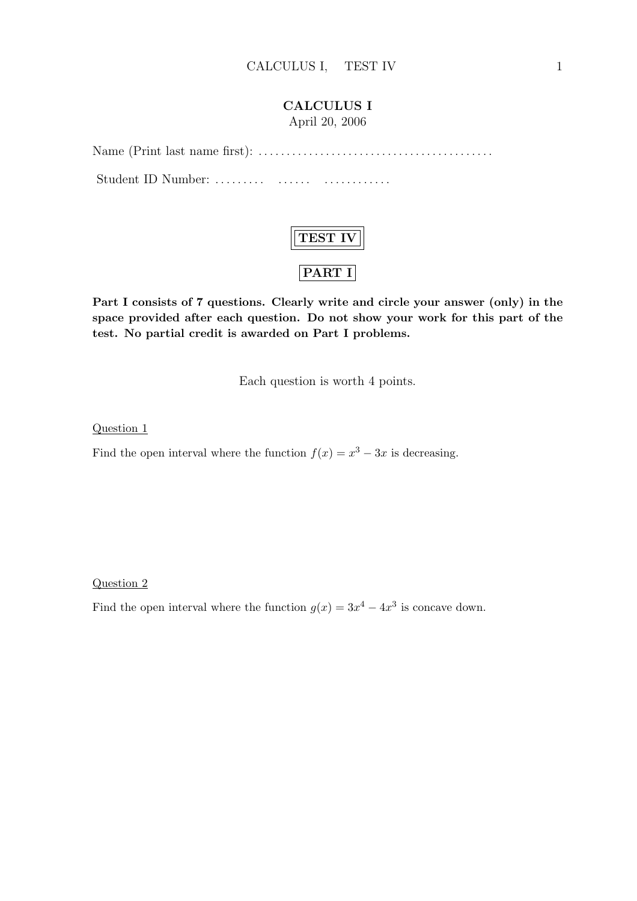#### CALCULUS I

April 20, 2006

Name (Print last name first): . . . . . . . . . . . . . . . . . . . . . . . . . . . . . . . . . . . . . . . . . . Student ID Number: . . . . . . . . . . . . . . . . . . . . . . . . . . .



Part I consists of 7 questions. Clearly write and circle your answer (only) in the space provided after each question. Do not show your work for this part of the test. No partial credit is awarded on Part I problems.

Each question is worth 4 points.

Question 1

Find the open interval where the function  $f(x) = x^3 - 3x$  is decreasing.

Question 2

Find the open interval where the function  $g(x) = 3x^4 - 4x^3$  is concave down.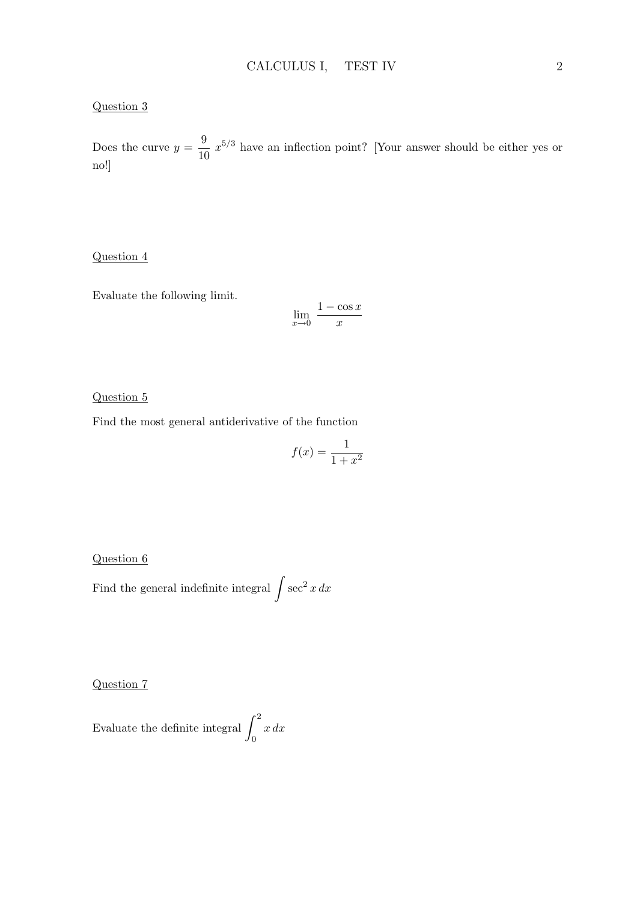#### Question 3

Does the curve  $y = \frac{9}{16}$  $\frac{9}{10} x^{5/3}$  have an inflection point? [Your answer should be either yes or no!]

#### Question 4

Evaluate the following limit.

$$
\lim_{x \to 0} \frac{1 - \cos x}{x}
$$

#### Question 5

Find the most general antiderivative of the function

$$
f(x) = \frac{1}{1 + x^2}
$$

Question 6

Find the general indefinite integral  $\int \sec^2 x \, dx$ 

Question 7

Evaluate the definite integral  $\int_1^2$ 0 x dx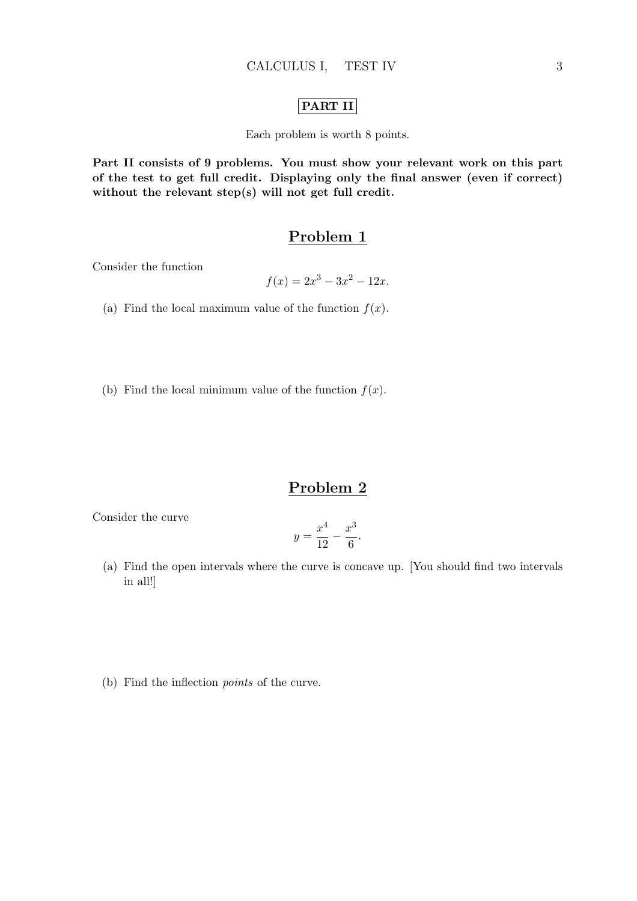### PART II

Each problem is worth 8 points.

Part II consists of 9 problems. You must show your relevant work on this part of the test to get full credit. Displaying only the final answer (even if correct) without the relevant step(s) will not get full credit.

### Problem 1

Consider the function

$$
f(x) = 2x^3 - 3x^2 - 12x.
$$

- (a) Find the local maximum value of the function  $f(x)$ .
- (b) Find the local minimum value of the function  $f(x)$ .

### Problem 2

Consider the curve

$$
y = \frac{x^4}{12} - \frac{x^3}{6}.
$$

- (a) Find the open intervals where the curve is concave up. [You should find two intervals in all!]
- (b) Find the inflection points of the curve.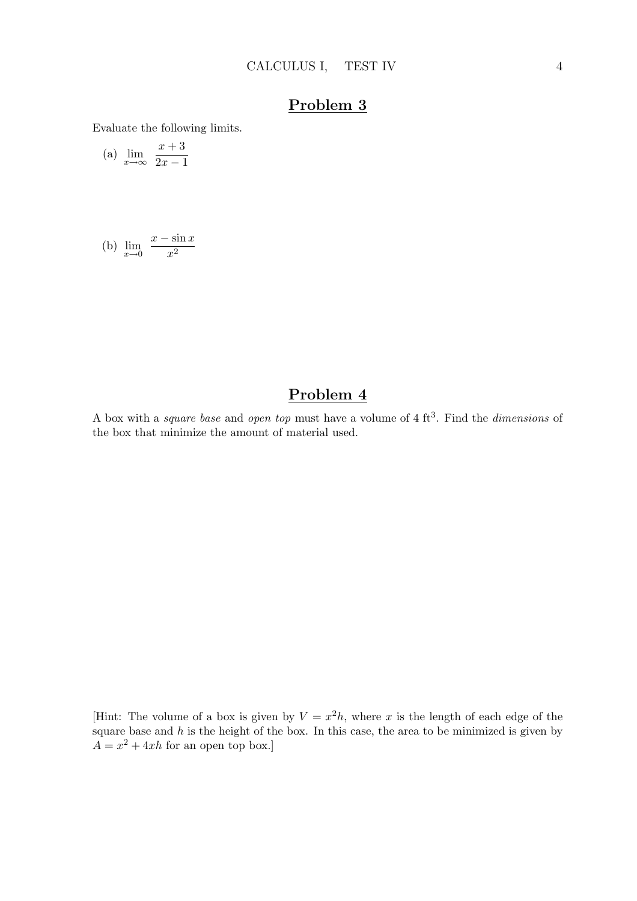Evaluate the following limits.

(a) 
$$
\lim_{x \to \infty} \frac{x+3}{2x-1}
$$

(b) 
$$
\lim_{x \to 0} \frac{x - \sin x}{x^2}
$$

### Problem 4

A box with a *square base* and *open top* must have a volume of  $4 \text{ ft}^3$ . Find the *dimensions* of the box that minimize the amount of material used.

[Hint: The volume of a box is given by  $V = x^2 h$ , where x is the length of each edge of the square base and  $h$  is the height of the box. In this case, the area to be minimized is given by  $A = x^2 + 4xh$  for an open top box.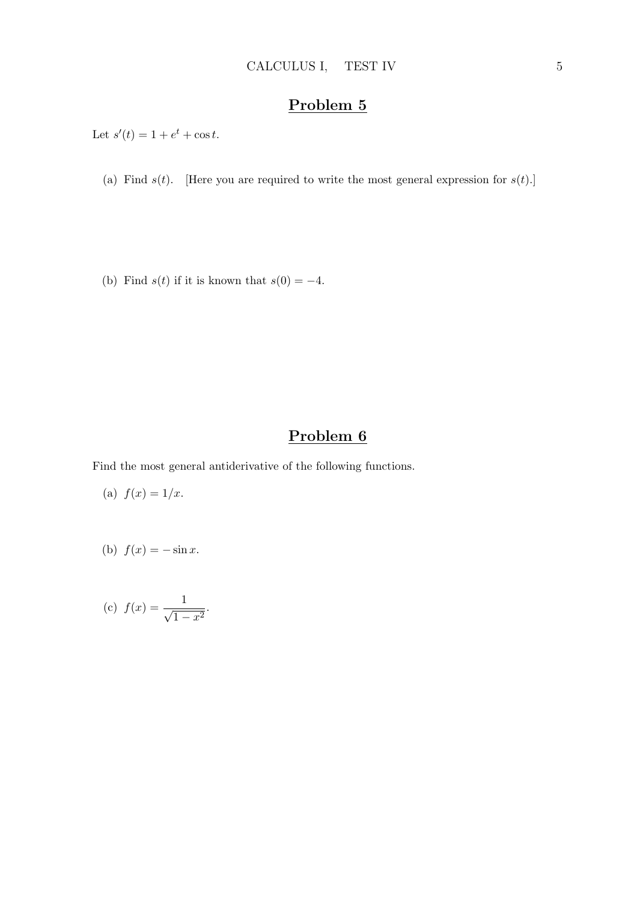Let  $s'(t) = 1 + e^t + \cos t$ .

(a) Find  $s(t)$ . [Here you are required to write the most general expression for  $s(t)$ .]

(b) Find  $s(t)$  if it is known that  $s(0) = -4$ .

## Problem 6

Find the most general antiderivative of the following functions.

(a) 
$$
f(x) = 1/x
$$
.

(b) 
$$
f(x) = -\sin x.
$$

(c) 
$$
f(x) = \frac{1}{\sqrt{1 - x^2}}
$$
.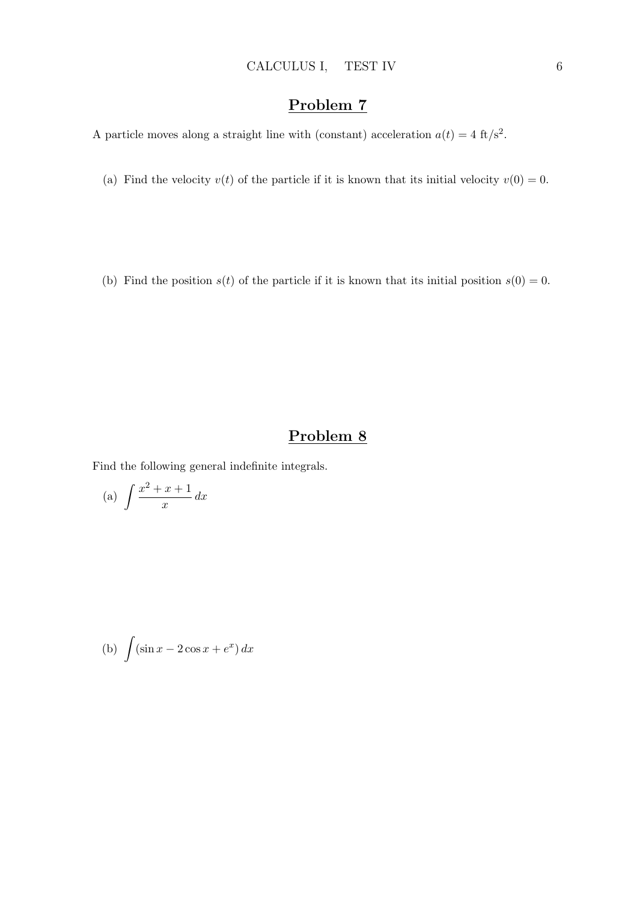A particle moves along a straight line with (constant) acceleration  $a(t) = 4 \text{ ft/s}^2$ .

(a) Find the velocity  $v(t)$  of the particle if it is known that its initial velocity  $v(0) = 0$ .

(b) Find the position  $s(t)$  of the particle if it is known that its initial position  $s(0) = 0$ .

## Problem 8

Find the following general indefinite integrals.

(a) 
$$
\int \frac{x^2 + x + 1}{x} dx
$$

(b) 
$$
\int (\sin x - 2\cos x + e^x) dx
$$